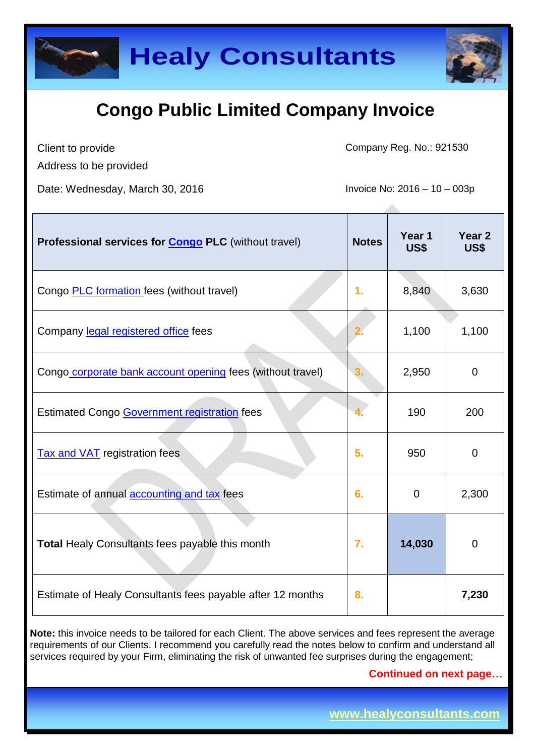



Client to provide

Company Reg. No.: 921530

Address to be provided

Date: Wednesday, March 30, 2016 **Invoice No: 2016** - 10 – 003p

| Professional services for <b>Congo PLC</b> (without travel) | <b>Notes</b>     | Year 1<br>US\$ | Year <sub>2</sub><br><b>US\$</b> |
|-------------------------------------------------------------|------------------|----------------|----------------------------------|
| Congo <b>PLC</b> formation fees (without travel)            | $\mathbf{1}$ .   | 8,840          | 3,630                            |
| Company legal registered office fees                        |                  | 1,100          | 1,100                            |
| Congo corporate bank account opening fees (without travel)  | 3.               | 2,950          | $\overline{0}$                   |
| Estimated Congo Government registration fees                |                  | 190            | 200                              |
| <b>Tax and VAT</b> registration fees                        | 5.               | 950            | $\overline{0}$                   |
| Estimate of annual <b>accounting and tax</b> fees           | 6.               | $\overline{0}$ | 2,300                            |
| <b>Total Healy Consultants fees payable this month</b>      | $\overline{7}$ . | 14,030         | 0                                |
| Estimate of Healy Consultants fees payable after 12 months  | 8.               |                | 7,230                            |

**Note:** this invoice needs to be tailored for each Client. The above services and fees represent the average requirements of our Clients. I recommend you carefully read the notes below to confirm and understand all services required by your Firm, eliminating the risk of unwanted fee surprises during the engagement;

**Continued on next page…**

**www.healyconsultants.com**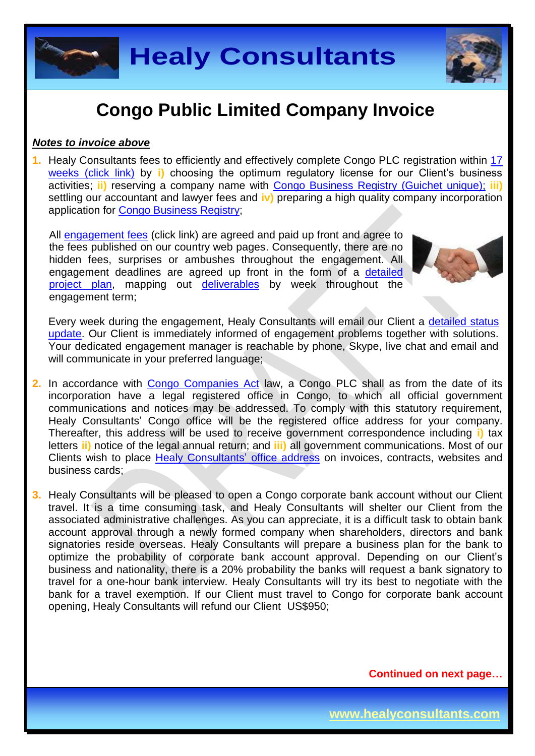**Healy Consultants**

## **Congo Public Limited Company Invoice**

#### *Notes to invoice above*

**1.** Healy Consultants fees to efficiently and effectively complete Congo PLC registration within [17](http://www.healyconsultants.com/congo-company-registration/fees-timelines/)  [weeks \(click link\)](http://www.healyconsultants.com/congo-company-registration/fees-timelines/) by **i)** choosing the optimum regulatory license for our Client's business activities; **ii)** reserving a company name with [Congo Business Registry \(Guichet unique\);](http://fr.guichetunique.cd/) **iii)** settling our accountant and lawyer fees and **iv)** preparing a high quality company incorporation application for [Congo Business Registry;](http://fr.guichetunique.cd/)

All [engagement fees](http://www.healyconsultants.com/company-registration-fees/) (click link) are agreed and paid up front and agree to the fees published on our country web pages. Consequently, there are no hidden fees, surprises or ambushes throughout the engagement. All engagement deadlines are agreed up front in the form of a [detailed](http://www.healyconsultants.com/index-important-links/example-project-plan/)  [project plan,](http://www.healyconsultants.com/index-important-links/example-project-plan/) mapping out [deliverables](http://www.healyconsultants.com/deliverables-to-our-clients/) by week throughout the engagement term;

Every week during the engagement, Healy Consultants will email our Client a detailed status [update.](http://www.healyconsultants.com/index-important-links/weekly-engagement-status-email/) Our Client is immediately informed of engagement problems together with solutions. Your dedicated engagement manager is reachable by phone, Skype, live chat and email and will communicate in your preferred language;

- **2.** In accordance with [Congo Companies Act](http://www.ohada.com/actes-uniformes.html) law, a Congo PLC shall as from the date of its incorporation have a legal registered office in Congo, to which all official government communications and notices may be addressed. To comply with this statutory requirement, Healy Consultants' Congo office will be the registered office address for your company. Thereafter, this address will be used to receive government correspondence including **i)** tax letters **ii)** notice of the legal annual return; and **iii)** all government communications. Most of our Clients wish to place Healy Consultants' [office address](http://www.healyconsultants.com/corporate-outsourcing-services/company-secretary-and-legal-registered-office/) on invoices, contracts, websites and business cards;
- **3.** Healy Consultants will be pleased to open a Congo corporate bank account without our Client travel. It is a time consuming task, and Healy Consultants will shelter our Client from the associated administrative challenges. As you can appreciate, it is a difficult task to obtain bank account approval through a newly formed company when shareholders, directors and bank signatories reside overseas. Healy Consultants will prepare a business plan for the bank to optimize the probability of corporate bank account approval. Depending on our Client's business and nationality, there is a 20% probability the banks will request a bank signatory to travel for a one-hour bank interview. Healy Consultants will try its best to negotiate with the bank for a travel exemption. If our Client must travel to Congo for corporate bank account opening, Healy Consultants will refund our Client US\$950;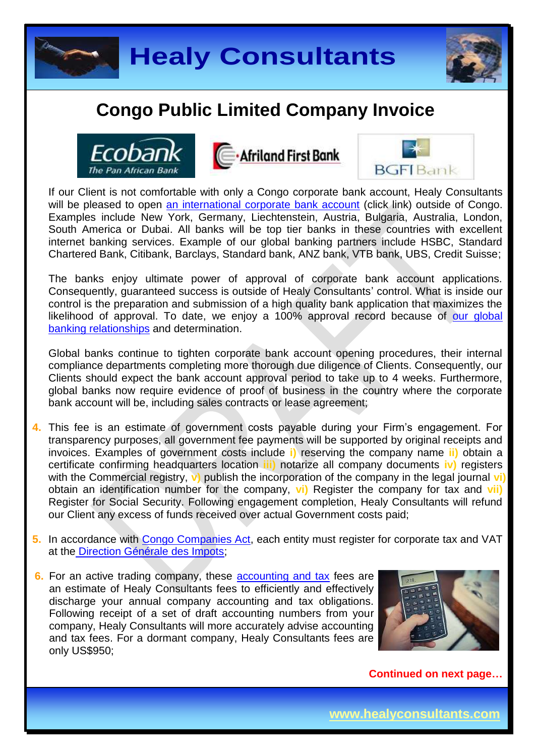









If our Client is not comfortable with only a Congo corporate bank account, Healy Consultants will be pleased to open [an international corporate bank account](http://www.healyconsultants.com/international-banking/) (click link) outside of Congo. Examples include New York, Germany, Liechtenstein, Austria, Bulgaria, Australia, London, South America or Dubai. All banks will be top tier banks in these countries with excellent internet banking services. Example of our global banking partners include HSBC, Standard Chartered Bank, Citibank, Barclays, Standard bank, ANZ bank, VTB bank, UBS, Credit Suisse;

The banks enjoy ultimate power of approval of corporate bank account applications. Consequently, guaranteed success is outside of Healy Consultants' control. What is inside our control is the preparation and submission of a high quality bank application that maximizes the likelihood of approval. To date, we enjoy a 100% approval record because of our global [banking relationships](http://www.healyconsultants.com/international-banking/corporate-accounts/) and determination.

Global banks continue to tighten corporate bank account opening procedures, their internal compliance departments completing more thorough due diligence of Clients. Consequently, our Clients should expect the bank account approval period to take up to 4 weeks. Furthermore, global banks now require evidence of proof of business in the country where the corporate bank account will be, including sales contracts or lease agreement;

- **4.** This fee is an estimate of government costs payable during your Firm's engagement. For transparency purposes, all government fee payments will be supported by original receipts and invoices. Examples of government costs include **i)** reserving the company name **ii)** obtain a certificate confirming headquarters location **iii)** notarize all company documents **iv)** registers with the Commercial registry, **v**) publish the incorporation of the company in the legal journal **vi)** obtain an identification number for the company, **vi)** Register the company for tax and **vii)** Register for Social Security. Following engagement completion, Healy Consultants will refund our Client any excess of funds received over actual Government costs paid;
- **5.** In accordance with [Congo Companies Act,](http://www.ohada.com/actes-uniformes.html) each entity must register for corporate tax and VAT at the [Direction Générale des Impots;](http://www.dgi.gouv.cd/)
- **6.** For an active trading company, these [accounting and tax](http://www.healyconsultants.com/congo-company-registration/accounting-legal/) fees are an estimate of Healy Consultants fees to efficiently and effectively discharge your annual company accounting and tax obligations. Following receipt of a set of draft accounting numbers from your company, Healy Consultants will more accurately advise accounting and tax fees. For a dormant company, Healy Consultants fees are only US\$950;

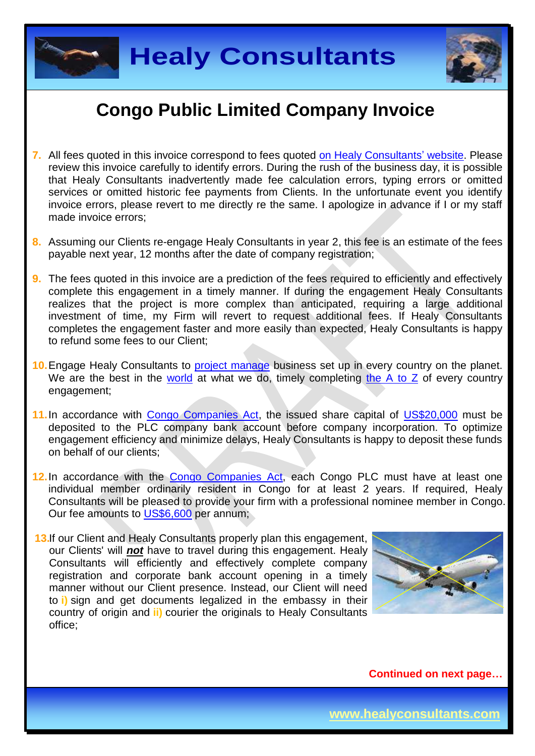



- **7.** All fees quoted in this invoice correspond to fees quoted [on Healy Consultants'](http://www.healyconsultants.com/company-registration-fees/) website. Please review this invoice carefully to identify errors. During the rush of the business day, it is possible that Healy Consultants inadvertently made fee calculation errors, typing errors or omitted services or omitted historic fee payments from Clients. In the unfortunate event you identify invoice errors, please revert to me directly re the same. I apologize in advance if I or my staff made invoice errors;
- **8.** Assuming our Clients re-engage Healy Consultants in year 2, this fee is an estimate of the fees payable next year, 12 months after the date of company registration;
- **9.** The fees quoted in this invoice are a prediction of the fees required to efficiently and effectively complete this engagement in a timely manner. If during the engagement Healy Consultants realizes that the project is more complex than anticipated, requiring a large additional investment of time, my Firm will revert to request additional fees. If Healy Consultants completes the engagement faster and more easily than expected, Healy Consultants is happy to refund some fees to our Client;
- 10. Engage Healy Consultants to **project manage** business set up in every country on the planet. We are the best in the [world](http://www.healyconsultants.com/best-in-the-world/) at what we do, timely completing [the A to Z](http://www.healyconsultants.com/a-to-z-of-business-set-up/) of every country engagement;
- **11.**In accordance with [Congo Companies Act,](http://www.ohada.com/actes-uniformes.html) the issued share capital of [US\\$20,000](http://fr.guichetunique.cd/spip.php?article4) must be deposited to the PLC company bank account before company incorporation. To optimize engagement efficiency and minimize delays, Healy Consultants is happy to deposit these funds on behalf of our clients;
- 12. In accordance with the [Congo Companies Act,](http://www.ohada.com/actes-uniformes.html) each Congo PLC must have at least one individual member ordinarily resident in Congo for at least 2 years. If required, Healy Consultants will be pleased to provide your firm with a professional nominee member in Congo. Our fee amounts to [US\\$6,600](http://www.healyconsultants.com/corporate-advisory-services/resident-director-services/) per annum;

**13.** If our Client and Healy Consultants properly plan this engagement, our Clients' will *not* have to travel during this engagement. Healy Consultants will efficiently and effectively complete company registration and corporate bank account opening in a timely manner without our Client presence. Instead, our Client will need to **i)** sign and get documents legalized in the embassy in their country of origin and **ii)** courier the originals to Healy Consultants office;

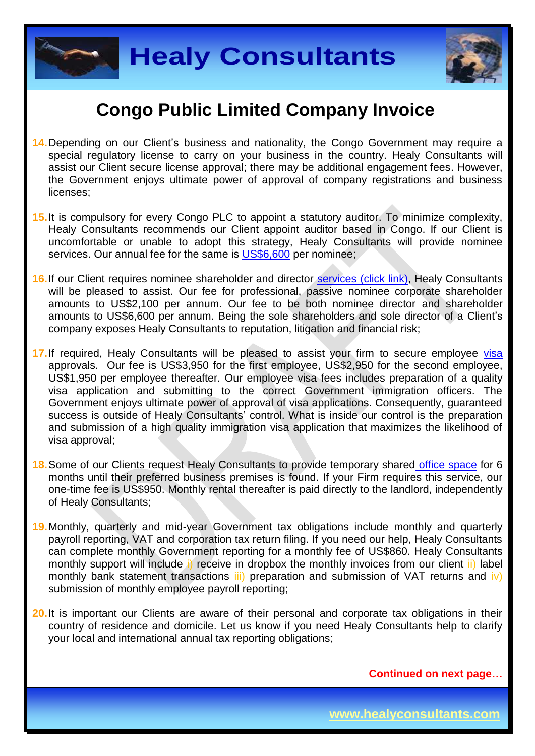



- **14.**Depending on our Client's business and nationality, the Congo Government may require a special regulatory license to carry on your business in the country. Healy Consultants will assist our Client secure license approval; there may be additional engagement fees. However, the Government enjoys ultimate power of approval of company registrations and business licenses;
- **15.**It is compulsory for every Congo PLC to appoint a statutory auditor. To minimize complexity, Healy Consultants recommends our Client appoint auditor based in Congo. If our Client is uncomfortable or unable to adopt this strategy, Healy Consultants will provide nominee services. Our annual fee for the same is [US\\$6,600](http://www.healyconsultants.com/corporate-advisory-services/resident-director-services/) per nominee:
- **16.**If our Client requires nominee shareholder and director services [\(click link\),](http://www.healyconsultants.com/corporate-outsourcing-services/nominee-shareholders-directors/) Healy Consultants will be pleased to assist. Our fee for professional, passive nominee corporate shareholder amounts to US\$2,100 per annum. Our fee to be both nominee director and shareholder amounts to US\$6,600 per annum. Being the sole shareholders and sole director of a Client's company exposes Healy Consultants to reputation, litigation and financial risk;
- 17. If required, Healy Consultants will be pleased to assist your firm to secure employee [visa](http://www.healyconsultants.com/corporate-advisory-services/migration/) approvals. Our fee is US\$3,950 for the first employee, US\$2,950 for the second employee, US\$1,950 per employee thereafter. Our employee visa fees includes preparation of a quality visa application and submitting to the correct Government immigration officers. The Government enjoys ultimate power of approval of visa applications. Consequently, guaranteed success is outside of Healy Consultants' control. What is inside our control is the preparation and submission of a high quality immigration visa application that maximizes the likelihood of visa approval;
- **18.**Some of our Clients request Healy Consultants to provide temporary shared [office space](http://www.healyconsultants.com/virtual-office/) for 6 months until their preferred business premises is found. If your Firm requires this service, our one-time fee is US\$950. Monthly rental thereafter is paid directly to the landlord, independently of Healy Consultants;
- **19.**Monthly, quarterly and mid-year Government tax obligations include monthly and quarterly payroll reporting, VAT and corporation tax return filing. If you need our help, Healy Consultants can complete monthly Government reporting for a monthly fee of US\$860. Healy Consultants monthly support will include i) receive in dropbox the monthly invoices from our client ii) label monthly bank statement transactions iii) preparation and submission of VAT returns and iv) submission of monthly employee payroll reporting;
- **20.**It is important our Clients are aware of their personal and corporate tax obligations in their country of residence and domicile. Let us know if you need Healy Consultants help to clarify your local and international annual tax reporting obligations;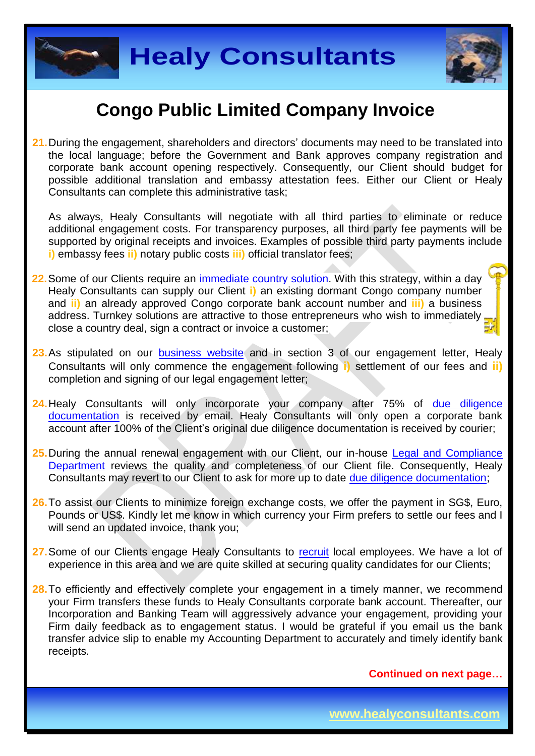



**21.**During the engagement, shareholders and directors' documents may need to be translated into the local language; before the Government and Bank approves company registration and corporate bank account opening respectively. Consequently, our Client should budget for possible additional translation and embassy attestation fees. Either our Client or Healy Consultants can complete this administrative task;

As always, Healy Consultants will negotiate with all third parties to eliminate or reduce additional engagement costs. For transparency purposes, all third party fee payments will be supported by original receipts and invoices. Examples of possible third party payments include **i)** embassy fees **ii)** notary public costs **iii)** official translator fees;

- **22.**Some of our Clients require an [immediate country](http://www.healyconsultants.com/turnkey-solutions/) solution. With this strategy, within a day Healy Consultants can supply our Client **i)** an existing dormant Congo company number and **ii)** an already approved Congo corporate bank account number and **iii)** a business address. Turnkey solutions are attractive to those entrepreneurs who wish to immediately. close a country deal, sign a contract or invoice a customer;
- 23. As stipulated on our **[business website](http://www.healyconsultants.com/)** and in section 3 of our engagement letter, Healy Consultants will only commence the engagement following **i)** settlement of our fees and **ii)** completion and signing of our legal engagement letter;
- **24.**Healy Consultants will only incorporate your company after 75% of [due diligence](http://www.healyconsultants.com/due-diligence/)  [documentation](http://www.healyconsultants.com/due-diligence/) is received by email. Healy Consultants will only open a corporate bank account after 100% of the Client's original due diligence documentation is received by courier;
- **25.**During the annual renewal engagement with our Client, our in-house [Legal and Compliance](http://www.healyconsultants.com/about-us/key-personnel/cai-xin-profile/)  [Department](http://www.healyconsultants.com/about-us/key-personnel/cai-xin-profile/) reviews the quality and completeness of our Client file. Consequently, Healy Consultants may revert to our Client to ask for more up to date [due diligence documentation;](http://www.healyconsultants.com/due-diligence/)
- **26.**To assist our Clients to minimize foreign exchange costs, we offer the payment in SG\$, Euro, Pounds or US\$. Kindly let me know in which currency your Firm prefers to settle our fees and I will send an updated invoice, thank you;
- 27. Some of our Clients engage Healy Consultants to [recruit](http://www.healyconsultants.com/corporate-outsourcing-services/how-we-help-our-clients-recruit-quality-employees/) local employees. We have a lot of experience in this area and we are quite skilled at securing quality candidates for our Clients;
- 28. To efficiently and effectively complete your engagement in a timely manner, we recommend your Firm transfers these funds to Healy Consultants corporate bank account. Thereafter, our Incorporation and Banking Team will aggressively advance your engagement, providing your Firm daily feedback as to engagement status. I would be grateful if you email us the bank transfer advice slip to enable my Accounting Department to accurately and timely identify bank receipts.